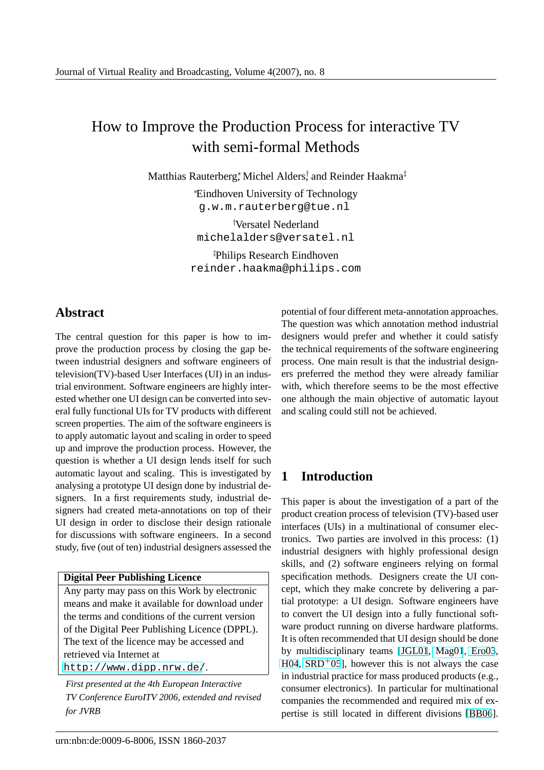# How to Improve the Production Process for interactive TV with semi-formal Methods

Matthias Rauterberg, Michel Alders, and Reinder Haakma<sup>‡</sup>

<sup>∗</sup>Eindhoven University of Technology g.w.m.rauterberg@tue.nl

†Versatel Nederland michelalders@versatel.nl

‡Philips Research Eindhoven reinder.haakma@philips.com

# **Abstract**

The central question for this paper is how to improve the production process by closing the gap between industrial designers and software engineers of television(TV)-based User Interfaces (UI) in an industrial environment. Software engineers are highly interested whether one UI design can be converted into several fully functional UIs for TV products with different screen properties. The aim of the software engineers is to apply automatic layout and scaling in order to speed up and improve the production process. However, the question is whether a UI design lends itself for such automatic layout and scaling. This is investigated by analysing a prototype UI design done by industrial designers. In a first requirements study, industrial designers had created meta-annotations on top of their UI design in order to disclose their design rationale for discussions with software engineers. In a second study, five (out of ten) industrial designers assessed the

#### **Digital Peer Publishing Licence**

Any party may pass on this Work by electronic means and make it available for download under the terms and conditions of the current version of the Digital Peer Publishing Licence (DPPL). The text of the licence may be accessed and retrieved via Internet at http://www.dipp.nrw.de/.

*First presented at the 4th European Interactive TV Conference EuroITV 2006, extended and revised [for JVRB](http://www.dipp.nrw.de/)*

potential of four different meta-annotation approaches. The question was which annotation method industrial designers would prefer and whether it could satisfy the technical requirements of the software engineering process. One main result is that the industrial designers preferred the method they were already familiar with, which therefore seems to be the most effective one although the main objective of automatic layout and scaling could still not be achieved.

# **1 Introduction**

This paper is about the investigation of a part of the product creation process of television (TV)-based user interfaces (UIs) in a multinational of consumer electronics. Two parties are involved in this process: (1) industrial designers with highly professional design skills, and (2) software engineers relying on formal specification methods. Designers create the UI concept, which they make concrete by delivering a partial prototype: a UI design. Software engineers have to convert the UI design into a fully functional software product running on diverse hardware platforms. It is often recommended that UI design should be done by multidisciplinary teams [JGL01, Mag01, Ero03,  $H04$ ,  $SRD+05$ ], however this is not always the case in industrial practice for mass produced products (e.g., consumer electronics). In particular for multinational companies the recommende[d and re](#page-10-0)q[uired m](#page-11-0)i[x of ex](#page-10-0)[perti](#page-10-0)[se is still](#page-11-0) located in different divisions [BB06].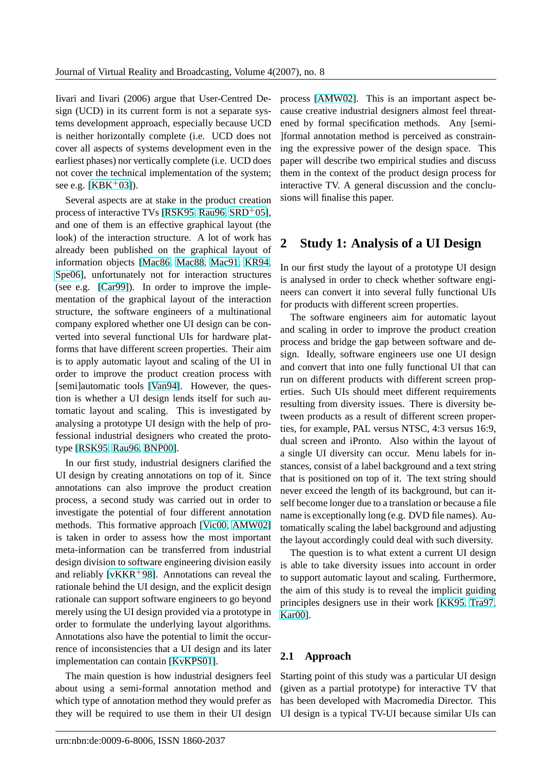<span id="page-1-0"></span>Iivari and Iivari (2006) argue that User-Centred Design (UCD) in its current form is not a separate systems development approach, especially because UCD is neither horizontally complete (i.e. UCD does not cover all aspects of systems development even in the earliest phases) nor vertically complete (i.e. UCD does not cover the technical implementation of the system; see e.g.  $[KBK^{+}03]$ .

Several aspects are at stake in the product creation process of interactive TVs [RSK95, Rau96, SRD<sup>+</sup>05], and one [of them is](#page-10-0) an effective graphical layout (the look) of the interaction structure. A lot of work has already been published on the graphical [layout o](#page-11-0)f information objects [Mac86, [Mac8](#page-11-0)8, [Mac](#page-11-0)91, KR94, Spe06], unfortunately not for interaction structures (see e.g. [Car99]). In order to improve the implementation of the graphical layout of the interaction structure, the softwa[re engineers of a multin](#page-11-0)[ational](#page-10-0) [compa](#page-11-0)ny explored whether one UI design can be converted into [severa](#page-10-0)l functional UIs for hardware platforms that have different screen properties. Their aim is to apply automatic layout and scaling of the UI in order to improve the product creation process with [semi]automatic tools [Van94]. However, the question is whether a UI design lends itself for such automatic layout and scaling. This is investigated by analysing a prototype UI design with the help of professional industrial des[igners](#page-12-0) who created the prototype [RSK95, Rau96, BNP00].

In our first study, industrial designers clarified the UI design by creating annotations on top of it. Since annot[ations can also](#page-11-0) [improv](#page-10-0)e the product creation process, a second study was carried out in order to investigate the potential of four different annotation methods. This formative approach [Vic00, AMW02] is taken in order to assess how the most important meta-information can be transferred from industrial design division to software engineering division easily and reliably [ $vKKR+98$ ]. Annotati[ons can](#page-12-0) [reveal the](#page-10-0) rationale behind the UI design, and the explicit design rationale can support software engineers to go beyond merely using the UI design provided via a prototype in order to for[mulate the u](#page-12-0)nderlying layout algorithms. Annotations also have the potential to limit the occurrence of inconsistencies that a UI design and its later implementation can contain [KvKPS01].

The main question is how industrial designers feel about using a semi-formal annotation method and which type of annotation me[thod they w](#page-10-0)ould prefer as they will be required to use them in their UI design process [AMW02]. This is an important aspect because creative industrial designers almost feel threatened by formal specification methods. Any [semi- ]formal annotation method is perceived as constraining the [expressive](#page-10-0) power of the design space. This paper will describe two empirical studies and discuss them in the context of the product design process for interactive TV. A general discussion and the conclusions will finalise this paper.

## **2 Study 1: Analysis of a UI Design**

In our first study the layout of a prototype UI design is analysed in order to check whether software engineers can convert it into several fully functional UIs for products with different screen properties.

The software engineers aim for automatic layout and scaling in order to improve the product creation process and bridge the gap between software and design. Ideally, software engineers use one UI design and convert that into one fully functional UI that can run on different products with different screen properties. Such UIs should meet different requirements resulting from diversity issues. There is diversity between products as a result of different screen properties, for example, PAL versus NTSC, 4:3 versus 16:9, dual screen and iPronto. Also within the layout of a single UI diversity can occur. Menu labels for instances, consist of a label background and a text string that is positioned on top of it. The text string should never exceed the length of its background, but can itself become longer due to a translation or because a file name is exceptionally long (e.g. DVD file names). Automatically scaling the label background and adjusting the layout accordingly could deal with such diversity.

The question is to what extent a current UI design is able to take diversity issues into account in order to support automatic layout and scaling. Furthermore, the aim of this study is to reveal the implicit guiding principles designers use in their work [KK95, Tra97, Kar00].

#### **[2.1 A](#page-10-0)pproach**

Starting point of this study was a particular UI design (given as a partial prototype) for interactive TV that has been developed with Macromedia Director. This UI design is a typical TV-UI because similar UIs can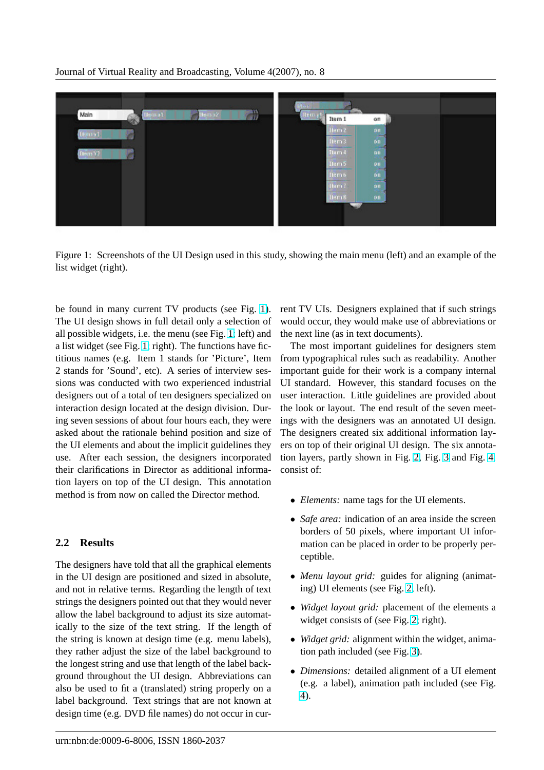

Figure 1: Screenshots of the UI Design used in this study, showing the main menu (left) and an example of the list widget (right).

be found in many current TV products (see Fig. 1). The UI design shows in full detail only a selection of all possible widgets, i.e. the menu (see Fig. 1; left) and a list widget (see Fig. 1; right). The functions have fictitious names (e.g. Item 1 stands for 'Picture', Item 2 stands for 'Sound', etc). A series of interview sessions was conducted with two experienced industrial designers out of a total of ten designers specialized on interaction design located at the design division. During seven sessions of about four hours each, they were asked about the rationale behind position and size of the UI elements and about the implicit guidelines they use. After each session, the designers incorporated their clarifications in Director as additional information layers on top of the UI design. This annotation method is from now on called the Director method.

#### **2.2 Results**

The designers have told that all the graphical elements in the UI design are positioned and sized in absolute, and not in relative terms. Regarding the length of text strings the designers pointed out that they would never allow the label background to adjust its size automatically to the size of the text string. If the length of the string is known at design time (e.g. menu labels), they rather adjust the size of the label background to the longest string and use that length of the label background throughout the UI design. Abbreviations can also be used to fit a (translated) string properly on a label background. Text strings that are not known at design time (e.g. DVD file names) do not occur in current TV UIs. Designers explained that if such strings would occur, they would make use of abbreviations or the next line (as in text documents).

The most important guidelines for designers stem from typographical rules such as readability. Another important guide for their work is a company internal UI standard. However, this standard focuses on the user interaction. Little guidelines are provided about the look or layout. The end result of the seven meetings with the designers was an annotated UI design. The designers created six additional information layers on top of their original UI design. The six annotation layers, partly shown in Fig. 2, Fig. 3 and Fig. 4, consist of:

- *Elements:* name tags for the [U](#page-3-0)I ele[me](#page-3-0)nts.
- *Safe area:* indication of an area inside the screen borders of 50 pixels, where important UI information can be placed in order to be properly perceptible.
- *Menu layout grid:* guides for aligning (animating) UI elements (see Fig. 2, left).
- *Widget layout grid:* placement of the elements a widget consists of (see Fig. 2; right).
- *Widget grid:* alignment wi[th](#page-3-0)in the widget, animation path included (see Fig. 3).
- *Dimensions:* detailed align[me](#page-3-0)nt of a UI element (e.g. a label), animation path included (see Fig. 4).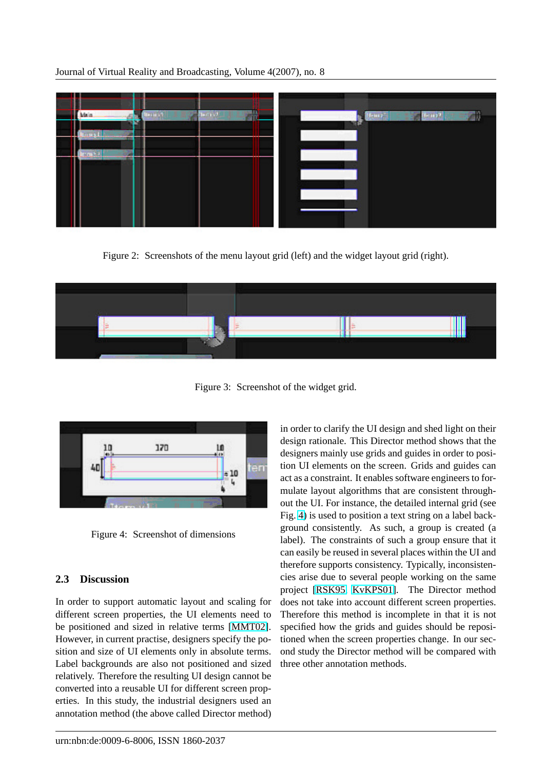<span id="page-3-0"></span>

Figure 2: Screenshots of the menu layout grid (left) and the widget layout grid (right).



Figure 3: Screenshot of the widget grid.



Figure 4: Screenshot of dimensions

### **2.3 Discussion**

In order to support automatic layout and scaling for different screen properties, the UI elements need to be positioned and sized in relative terms [MMT02]. However, in current practise, designers specify the position and size of UI elements only in absolute terms. Label backgrounds are also not positioned and sized relatively. Therefore the resulting UI design [cannot b](#page-11-0)e converted into a reusable UI for different screen properties. In this study, the industrial designers used an annotation method (the above called Director method) in order to clarify the UI design and shed light on their design rationale. This Director method shows that the designers mainly use grids and guides in order to position UI elements on the screen. Grids and guides can act as a constraint. It enables software engineers to formulate layout algorithms that are consistent throughout the UI. For instance, the detailed internal grid (see Fig. 4) is used to position a text string on a label background consistently. As such, a group is created (a label). The constraints of such a group ensure that it can easily be reused in several places within the UI and therefore supports consistency. Typically, inconsistencies arise due to several people working on the same project [RSK95, KvKPS01]. The Director method does not take into account different screen properties. Therefore this method is incomplete in that it is not specified how the grids and guides should be repositioned w[hen the](#page-11-0) [screen prope](#page-10-0)rties change. In our second study the Director method will be compared with three other annotation methods.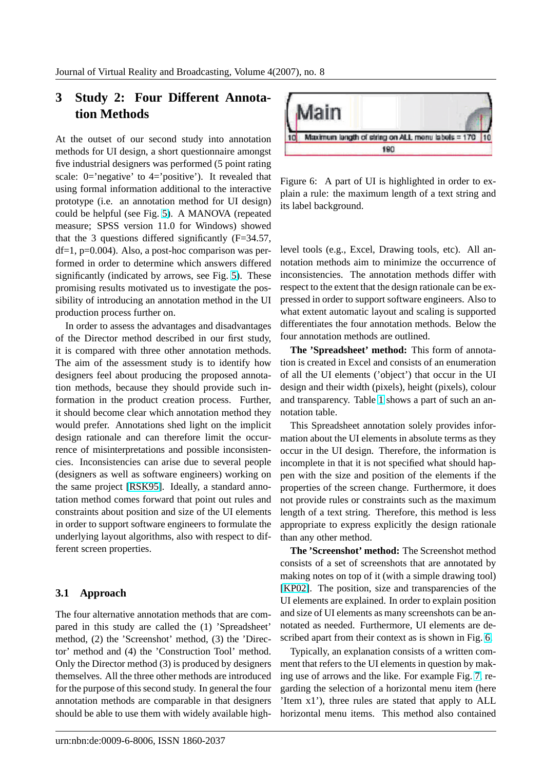# **3 Study 2: Four Different Annotation Methods**

At the outset of our second study into annotation methods for UI design, a short questionnaire amongst five industrial designers was performed (5 point rating scale: 0='negative' to 4='positive'). It revealed that using formal information additional to the interactive prototype (i.e. an annotation method for UI design) could be helpful (see Fig. 5). A MANOVA (repeated measure; SPSS version 11.0 for Windows) showed that the 3 questions differed significantly (F=34.57,  $df=1$ , p=0.004). Also, a post-hoc comparison was performed in order to determ[in](#page-5-0)e which answers differed significantly (indicated by arrows, see Fig. 5). These promising results motivated us to investigate the possibility of introducing an annotation method in the UI production process further on.

In order to assess the advantages and dis[adv](#page-5-0)antages of the Director method described in our first study, it is compared with three other annotation methods. The aim of the assessment study is to identify how designers feel about producing the proposed annotation methods, because they should provide such information in the product creation process. Further, it should become clear which annotation method they would prefer. Annotations shed light on the implicit design rationale and can therefore limit the occurrence of misinterpretations and possible inconsistencies. Inconsistencies can arise due to several people (designers as well as software engineers) working on the same project [RSK95]. Ideally, a standard annotation method comes forward that point out rules and constraints about position and size of the UI elements in order to support software engineers to formulate the underlying layout [algorithm](#page-11-0)s, also with respect to different screen properties.

### **3.1 Approach**

The four alternative annotation methods that are compared in this study are called the (1) 'Spreadsheet' method, (2) the 'Screenshot' method, (3) the 'Director' method and (4) the 'Construction Tool' method. Only the Director method (3) is produced by designers themselves. All the three other methods are introduced for the purpose of this second study. In general the four annotation methods are comparable in that designers should be able to use them with widely available high-



Figure 6: A part of UI is highlighted in order to explain a rule: the maximum length of a text string and its label background.

level tools (e.g., Excel, Drawing tools, etc). All annotation methods aim to minimize the occurrence of inconsistencies. The annotation methods differ with respect to the extent that the design rationale can be expressed in order to support software engineers. Also to what extent automatic layout and scaling is supported differentiates the four annotation methods. Below the four annotation methods are outlined.

**The 'Spreadsheet' method:** This form of annotation is created in Excel and consists of an enumeration of all the UI elements ('object') that occur in the UI design and their width (pixels), height (pixels), colour and transparency. Table 1 shows a part of such an annotation table.

This Spreadsheet annotation solely provides information about the UI elements in absolute terms as they occur in the UI design. [T](#page-5-0)herefore, the information is incomplete in that it is not specified what should happen with the size and position of the elements if the properties of the screen change. Furthermore, it does not provide rules or constraints such as the maximum length of a text string. Therefore, this method is less appropriate to express explicitly the design rationale than any other method.

**The 'Screenshot' method:** The Screenshot method consists of a set of screenshots that are annotated by making notes on top of it (with a simple drawing tool) [KP02]. The position, size and transparencies of the UI elements are explained. In order to explain position and size of UI elements as many screenshots can be annotated as needed. Furthermore, UI elements are de[scribed](#page-10-0) apart from their context as is shown in Fig. 6.

Typically, an explanation consists of a written comment that refers to the UI elements in question by making use of arrows and the like. For example Fig. 7, regarding the selection of a horizontal menu item (here 'Item x1'), three rules are stated that apply to ALL horizontal menu items. This method also con[tai](#page-5-0)ned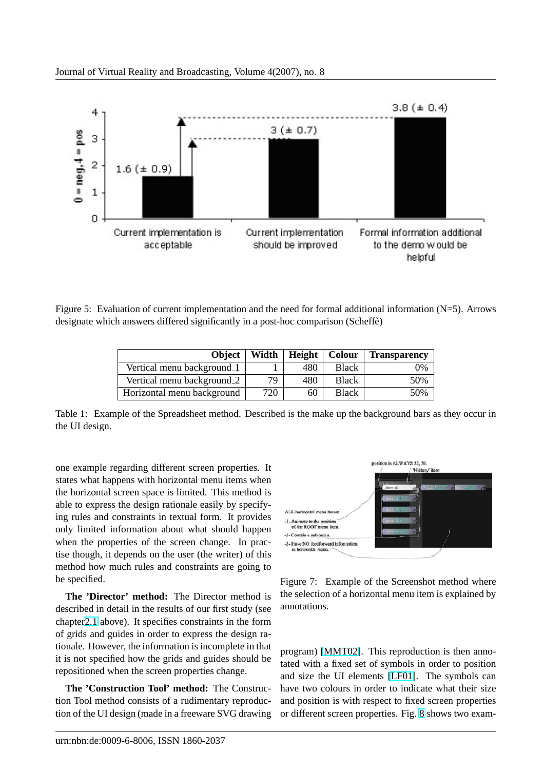<span id="page-5-0"></span>

Figure 5: Evaluation of current implementation and the need for formal additional information (N=5). Arrows designate which answers differed significantly in a post-hoc comparison (Scheffe)

| <b>Object</b>              | Width | Height | Colour       | <b>Transparency</b> |
|----------------------------|-------|--------|--------------|---------------------|
| Vertical menu background_1 |       | 480    | <b>Black</b> | 0%                  |
| Vertical menu background_2 | 79    | 480    | <b>Black</b> | 50%                 |
| Horizontal menu background | 720   | 60     | <b>Black</b> | 50%                 |

Table 1: Example of the Spreadsheet method. Described is the make up the background bars as they occur in the UI design.

one example regarding different screen properties. It states what happens with horizontal menu items when the horizontal screen space is limited. This method is able to express the design rationale easily by specifying rules and constraints in textual form. It provides only limited information about what should happen when the properties of the screen change. In practise though, it depends on the user (the writer) of this method how much rules and constraints are going to be specified.

**The 'Director' method:** The Director method is described in detail in the results of our first study (see chapter2.1 above). It specifies constraints in the form of grids and guides in order to express the design rationale. However, the information is incomplete in that it is not specified how the grids and guides should be reposit[ione](#page-1-0)d when the screen properties change.

**The 'Construction Tool' method:** The Construction Tool method consists of a rudimentary reproduction of the UI design (made in a freeware SVG drawing



Figure 7: Example of the Screenshot method where the selection of a horizontal menu item is explained by annotations.

program) [MMT02]. This reproduction is then annotated with a fixed set of symbols in order to position and size the UI elements [LF01]. The symbols can have two colours in order to indicate what their size and positi[on is with](#page-11-0) respect to fixed screen properties or different screen properti[es. Fig](#page-11-0). 8 shows two exam-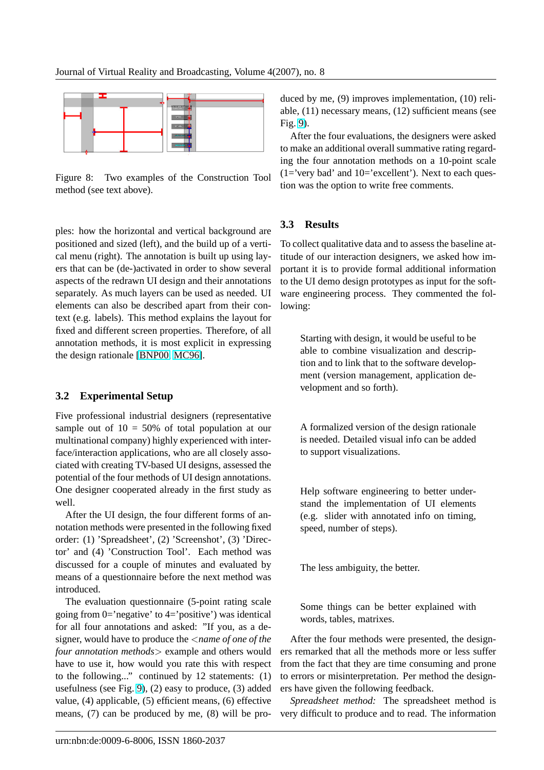

Figure 8: Two examples of the Construction Tool method (see text above).

ples: how the horizontal and vertical background are positioned and sized (left), and the build up of a vertical menu (right). The annotation is built up using layers that can be (de-)activated in order to show several aspects of the redrawn UI design and their annotations separately. As much layers can be used as needed. UI elements can also be described apart from their context (e.g. labels). This method explains the layout for fixed and different screen properties. Therefore, of all annotation methods, it is most explicit in expressing the design rationale [BNP00, MC96].

### **3.2 Experiment[al Setup](#page-10-0)**

Five professional industrial designers (representative sample out of  $10 = 50\%$  of total population at our multinational company) highly experienced with interface/interaction applications, who are all closely associated with creating TV-based UI designs, assessed the potential of the four methods of UI design annotations. One designer cooperated already in the first study as well.

After the UI design, the four different forms of annotation methods were presented in the following fixed order: (1) 'Spreadsheet', (2) 'Screenshot', (3) 'Director' and (4) 'Construction Tool'. Each method was discussed for a couple of minutes and evaluated by means of a questionnaire before the next method was introduced.

The evaluation questionnaire (5-point rating scale going from 0='negative' to 4='positive') was identical for all four annotations and asked: "If you, as a designer, would have to produce the <*name of one of the four annotation methods*> example and others would have to use it, how would you rate this with respect to the following..." continued by 12 statements: (1) usefulness (see Fig. 9), (2) easy to produce, (3) added value, (4) applicable, (5) efficient means, (6) effective means, (7) can be produced by me, (8) will be produced by me, (9) improves implementation, (10) reliable, (11) necessary means, (12) sufficient means (see Fig. 9).

After the four evaluations, the designers were asked to make an additional overall summative rating regarding the four annotation methods on a 10-point scale  $(1=$ '[ve](#page-7-0)ry bad' and  $10=$ 'excellent'). Next to each question was the option to write free comments.

### **3.3 Results**

To collect qualitative data and to assess the baseline attitude of our interaction designers, we asked how important it is to provide formal additional information to the UI demo design prototypes as input for the software engineering process. They commented the following:

Starting with design, it would be useful to be able to combine visualization and description and to link that to the software development (version management, application development and so forth).

A formalized version of the design rationale is needed. Detailed visual info can be added to support visualizations.

Help software engineering to better understand the implementation of UI elements (e.g. slider with annotated info on timing, speed, number of steps).

The less ambiguity, the better.

Some things can be better explained with words, tables, matrixes.

After the four methods were presented, the designers remarked that all the methods more or less suffer from the fact that they are time consuming and prone to errors or misinterpretation. Per method the designers have given the following feedback.

*Spreadsheet method:* The spreadsheet method is very difficult to produce and to read. The information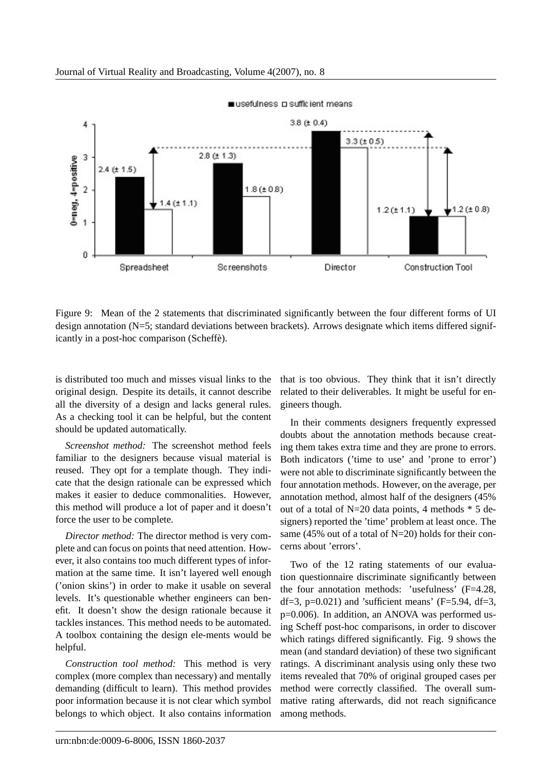<span id="page-7-0"></span>

usefulness a sufficient means

Figure 9: Mean of the 2 statements that discriminated significantly between the four different forms of UI design annotation (N=5; standard deviations between brackets). Arrows designate which items differed significantly in a post-hoc comparison (Scheffe). `

is distributed too much and misses visual links to the original design. Despite its details, it cannot describe all the diversity of a design and lacks general rules. As a checking tool it can be helpful, but the content should be updated automatically.

*Screenshot method:* The screenshot method feels familiar to the designers because visual material is reused. They opt for a template though. They indicate that the design rationale can be expressed which makes it easier to deduce commonalities. However, this method will produce a lot of paper and it doesn't force the user to be complete.

*Director method:* The director method is very complete and can focus on points that need attention. However, it also contains too much different types of information at the same time. It isn't layered well enough ('onion skins') in order to make it usable on several levels. It's questionable whether engineers can benefit. It doesn't show the design rationale because it tackles instances. This method needs to be automated. A toolbox containing the design ele-ments would be helpful.

*Construction tool method:* This method is very complex (more complex than necessary) and mentally demanding (difficult to learn). This method provides poor information because it is not clear which symbol belongs to which object. It also contains information

that is too obvious. They think that it isn't directly related to their deliverables. It might be useful for engineers though.

In their comments designers frequently expressed doubts about the annotation methods because creating them takes extra time and they are prone to errors. Both indicators ('time to use' and 'prone to error') were not able to discriminate significantly between the four annotation methods. However, on the average, per annotation method, almost half of the designers (45% out of a total of N=20 data points, 4 methods \* 5 designers) reported the 'time' problem at least once. The same (45% out of a total of N=20) holds for their concerns about 'errors'.

Two of the 12 rating statements of our evaluation questionnaire discriminate significantly between the four annotation methods: 'usefulness' (F=4.28, df=3,  $p=0.021$ ) and 'sufficient means' (F=5.94, df=3, p=0.006). In addition, an ANOVA was performed using Scheff post-hoc comparisons, in order to discover which ratings differed significantly. Fig. 9 shows the mean (and standard deviation) of these two significant ratings. A discriminant analysis using only these two items revealed that 70% of original grouped cases per method were correctly classified. The overall summative rating afterwards, did not reach significance among methods.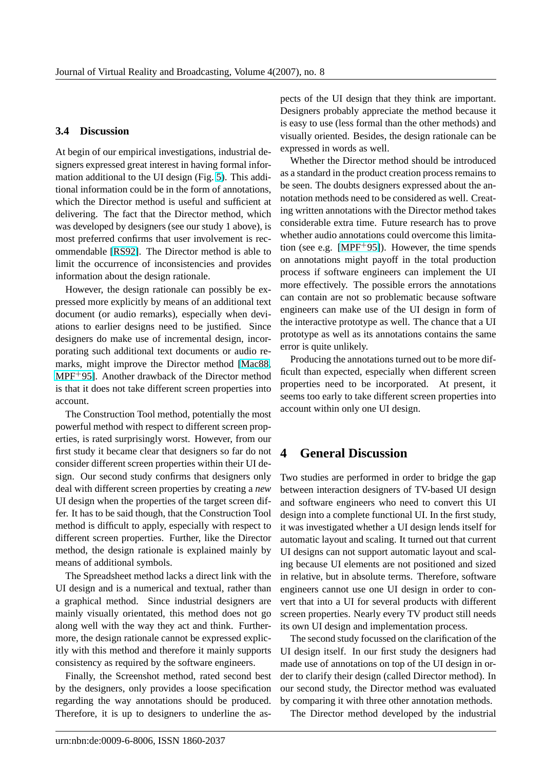#### **3.4 Discussion**

At begin of our empirical investigations, industrial designers expressed great interest in having formal information additional to the UI design (Fig. 5). This additional information could be in the form of annotations, which the Director method is useful and sufficient at delivering. The fact that the Director method, which was developed by designers (see our stu[dy](#page-5-0) 1 above), is most preferred confirms that user involvement is recommendable [RS92]. The Director method is able to limit the occurrence of inconsistencies and provides information about the design rationale.

However, the design rationale can possibly be expressed more [explici](#page-11-0)tly by means of an additional text document (or audio remarks), especially when deviations to earlier designs need to be justified. Since designers do make use of incremental design, incorporating such additional text documents or audio remarks, might improve the Director method [Mac88, MPF+95]. Another drawback of the Director method is that it does not take different screen properties into account.

The Construction Tool method, potentially t[he most](#page-11-0) [powerful](#page-11-0) method with respect to different screen properties, is rated surprisingly worst. However, from our first study it became clear that designers so far do not consider different screen properties within their UI design. Our second study confirms that designers only deal with different screen properties by creating a *new* UI design when the properties of the target screen differ. It has to be said though, that the Construction Tool method is difficult to apply, especially with respect to different screen properties. Further, like the Director method, the design rationale is explained mainly by means of additional symbols.

The Spreadsheet method lacks a direct link with the UI design and is a numerical and textual, rather than a graphical method. Since industrial designers are mainly visually orientated, this method does not go along well with the way they act and think. Furthermore, the design rationale cannot be expressed explicitly with this method and therefore it mainly supports consistency as required by the software engineers.

Finally, the Screenshot method, rated second best by the designers, only provides a loose specification regarding the way annotations should be produced. Therefore, it is up to designers to underline the aspects of the UI design that they think are important. Designers probably appreciate the method because it is easy to use (less formal than the other methods) and visually oriented. Besides, the design rationale can be expressed in words as well.

Whether the Director method should be introduced as a standard in the product creation process remains to be seen. The doubts designers expressed about the annotation methods need to be considered as well. Creating written annotations with the Director method takes considerable extra time. Future research has to prove whether audio annotations could overcome this limitation (see e.g.  $[MPF+95]$ ). However, the time spends on annotations might payoff in the total production process if software engineers can implement the UI more effectively. The possible errors the annotations can contain ar[e not so p](#page-11-0)roblematic because software engineers can make use of the UI design in form of the interactive prototype as well. The chance that a UI prototype as well as its annotations contains the same error is quite unlikely.

Producing the annotations turned out to be more difficult than expected, especially when different screen properties need to be incorporated. At present, it seems too early to take different screen properties into account within only one UI design.

### **4 General Discussion**

Two studies are performed in order to bridge the gap between interaction designers of TV-based UI design and software engineers who need to convert this UI design into a complete functional UI. In the first study, it was investigated whether a UI design lends itself for automatic layout and scaling. It turned out that current UI designs can not support automatic layout and scaling because UI elements are not positioned and sized in relative, but in absolute terms. Therefore, software engineers cannot use one UI design in order to convert that into a UI for several products with different screen properties. Nearly every TV product still needs its own UI design and implementation process.

The second study focussed on the clarification of the UI design itself. In our first study the designers had made use of annotations on top of the UI design in order to clarify their design (called Director method). In our second study, the Director method was evaluated by comparing it with three other annotation methods.

The Director method developed by the industrial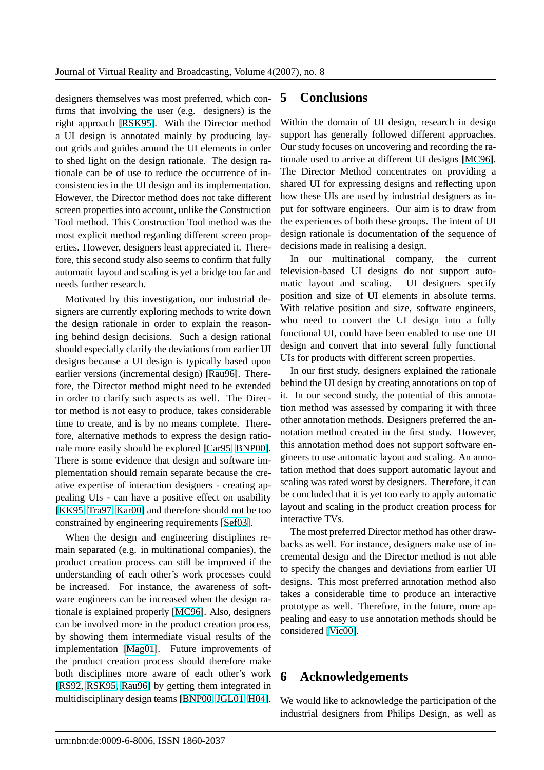designers themselves was most preferred, which confirms that involving the user (e.g. designers) is the right approach [RSK95]. With the Director method a UI design is annotated mainly by producing layout grids and guides around the UI elements in order to shed light on the design rationale. The design rationale can be [of use to](#page-11-0) reduce the occurrence of inconsistencies in the UI design and its implementation. However, the Director method does not take different screen properties into account, unlike the Construction Tool method. This Construction Tool method was the most explicit method regarding different screen properties. However, designers least appreciated it. Therefore, this second study also seems to confirm that fully automatic layout and scaling is yet a bridge too far and needs further research.

Motivated by this investigation, our industrial designers are currently exploring methods to write down the design rationale in order to explain the reasoning behind design decisions. Such a design rational should especially clarify the deviations from earlier UI designs because a UI design is typically based upon earlier versions (incremental design) [Rau96]. Therefore, the Director method might need to be extended in order to clarify such aspects as well. The Director method is not easy to produce, takes considerable time to create, and is by no means c[omplete](#page-11-0). Therefore, alternative methods to express the design rationale more easily should be explored [Car95, BNP00]. There is some evidence that design and software implementation should remain separate because the creative expertise of interaction designers - creating appealing UIs - can have a positive ef[fect on usabilit](#page-10-0)y [KK95, Tra97, Kar00] and therefore should not be too constrained by engineering requirements [Sef03].

When the design and engineering disciplines re[main se](#page-10-0)[parated](#page-11-0) [\(e.g. i](#page-10-0)n multinational companies), the product creation process can still be im[proved](#page-11-0) if the understanding of each other's work processes could be increased. For instance, the awareness of software engineers can be increased when the design rationale is explained properly [MC96]. Also, designers can be involved more in the product creation process, by showing them intermediate visual results of the implementation [Mag01]. Future improvements of the product creation process [should](#page-11-0) therefore make both disciplines more aware of each other's work [RS92, RSK95, Rau96] by getting them integrated in multidisciplinary [design t](#page-11-0)eams [BNP00, JGL01, H04].

# **5 Conclusions**

Within the domain of UI design, research in design support has generally followed different approaches. Our study focuses on uncovering and recording the rationale used to arrive at different UI designs [MC96]. The Director Method concentrates on providing a shared UI for expressing designs and reflecting upon how these UIs are used by industrial designers as input for software engineers. Our aim is to dr[aw from](#page-11-0) the experiences of both these groups. The intent of UI design rationale is documentation of the sequence of decisions made in realising a design.

In our multinational company, the current television-based UI designs do not support automatic layout and scaling. UI designers specify position and size of UI elements in absolute terms. With relative position and size, software engineers, who need to convert the UI design into a fully functional UI, could have been enabled to use one UI design and convert that into several fully functional UIs for products with different screen properties.

In our first study, designers explained the rationale behind the UI design by creating annotations on top of it. In our second study, the potential of this annotation method was assessed by comparing it with three other annotation methods. Designers preferred the annotation method created in the first study. However, this annotation method does not support software engineers to use automatic layout and scaling. An annotation method that does support automatic layout and scaling was rated worst by designers. Therefore, it can be concluded that it is yet too early to apply automatic layout and scaling in the product creation process for interactive TVs.

The most preferred Director method has other drawbacks as well. For instance, designers make use of incremental design and the Director method is not able to specify the changes and deviations from earlier UI designs. This most preferred annotation method also takes a considerable time to produce an interactive prototype as well. Therefore, in the future, more appealing and easy to use annotation methods should be considered [Vic00].

## **6 Ack[nowle](#page-12-0)dgements**

We would like to acknowledge the participation of the industrial designers from Philips Design, as well as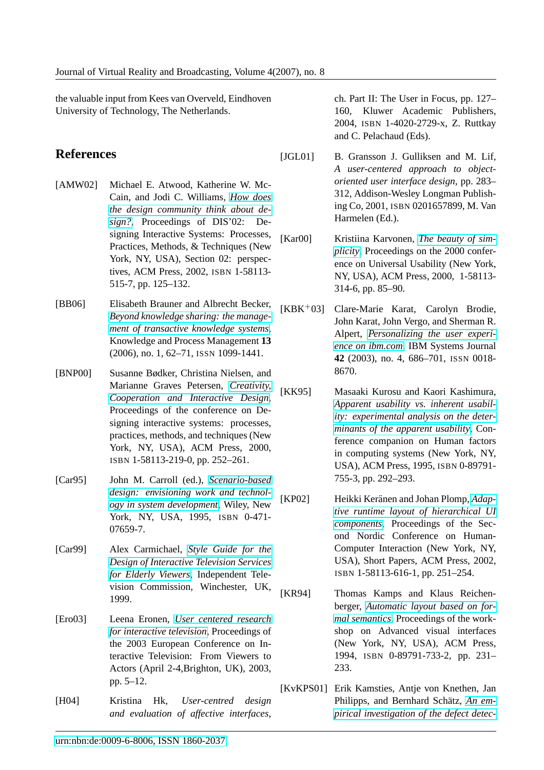<span id="page-10-0"></span>the valuable input from Kees van Overveld, Eindhoven University of Technology, The Netherlands.

## **References**

- [AMW02] Michael E. Atwood, Katherine W. Mc-Cain, and Jodi C. Williams, *How does the design community think about design?*, Proceedings of DIS'02: Designing Interactive Systems: Processes, Practices, Methods, & Techni[ques \(New](http://www.digibib.net/openurl?sid=hbz:dipp&genre=proceeding&aulast=Atwood&aufirst=Michael&title=Proceedings+of+DIS%2702%3A+Designing+Interactive+Systems%3A+Processes%2C+Practices%2C+Methods%2C+%26+Techniques&isbn=1-58113-515-7&date=2002&pages=125-132) [York, NY, USA\), Section 02: perspec](http://www.digibib.net/openurl?sid=hbz:dipp&genre=proceeding&aulast=Atwood&aufirst=Michael&title=Proceedings+of+DIS%2702%3A+Designing+Interactive+Systems%3A+Processes%2C+Practices%2C+Methods%2C+%26+Techniques&isbn=1-58113-515-7&date=2002&pages=125-132)[tives,](http://www.digibib.net/openurl?sid=hbz:dipp&genre=proceeding&aulast=Atwood&aufirst=Michael&title=Proceedings+of+DIS%2702%3A+Designing+Interactive+Systems%3A+Processes%2C+Practices%2C+Methods%2C+%26+Techniques&isbn=1-58113-515-7&date=2002&pages=125-132) ACM Press, 2002, ISBN 1-58113- 515-7, pp. 125–132.
- [BB06] Elisabeth Brauner and Albrecht Becker, *Beyond knowledge sharing: the management of transactive knowledge systems*, Knowledge and Process Management **13** [\(2006\), no. 1, 62–71,](http://www.digibib.net/openurl?sid=hbz:dipp&genre=article&aulast=Brauner&aufirst=Elisabeth&title=Knowledge+and+Process+Management&atitle=Beyond+knowledge+sharing+the+management+of+transactive+knowledge+systems&issn=1099-1441&date=2006&volume=13&issue=1&pages=62+-71) ISSN 1099-1441.
- [BNP00] [Susanne Bødker, Christina Nielsen, and](http://www.digibib.net/openurl?sid=hbz:dipp&genre=article&aulast=Brauner&aufirst=Elisabeth&title=Knowledge+and+Process+Management&atitle=Beyond+knowledge+sharing+the+management+of+transactive+knowledge+systems&issn=1099-1441&date=2006&volume=13&issue=1&pages=62+-71) Marianne Graves Petersen, *Creativity, Cooperation and Interactive Design*, Proceedings of the conference on Designing interactive systems: processes, practices, methods, and techn[iques \(New](http://www.digibib.net/openurl?sid=hbz:dipp&genre=proceeding&aulast=Boedker&aufirst=Susanne&title=Proceedings+of+the+conference+on+Designing+interactive+systems%3A+processes%2C+practices%2C+methods%2C+and+techniques&isbn=1-58113-219-0&date=2000&pages=252-261) [York, NY, USA\), ACM Press, 2000,](http://www.digibib.net/openurl?sid=hbz:dipp&genre=proceeding&aulast=Boedker&aufirst=Susanne&title=Proceedings+of+the+conference+on+Designing+interactive+systems%3A+processes%2C+practices%2C+methods%2C+and+techniques&isbn=1-58113-219-0&date=2000&pages=252-261) ISBN 1-58113-219-0, pp. 252–261.
- [Car95] John M. Carroll (ed.), *Scenario-based design: envisioning work and technology in system development*, Wiley, New York, NY, USA, 1995, ISBN [0-471-](http://www.digibib.net/openurl?sid=hbz:dipp&genre=book&aulast=Carroll&aufirst=John&title=Scenario-based+design%3A+envisioning+work+and+technology+in+system+development&isbn=0-471-07659-7&date=1995) [07659-7.](http://www.digibib.net/openurl?sid=hbz:dipp&genre=book&aulast=Carroll&aufirst=John&title=Scenario-based+design%3A+envisioning+work+and+technology+in+system+development&isbn=0-471-07659-7&date=1995)
- [Car99] [Alex Carmichael,](http://www.digibib.net/openurl?sid=hbz:dipp&genre=book&aulast=Carroll&aufirst=John&title=Scenario-based+design%3A+envisioning+work+and+technology+in+system+development&isbn=0-471-07659-7&date=1995) *Style Guide for the Design of Interactive Television Services for Elderly Viewers*, Independent Television Commissio[n, Winchester, UK,](http://www.digibib.net/openurl?sid=hbz:dipp&genre=article&aulast=Carmichael&aufirst=Alex&atitle=Style+Guide+for+the+Design+of+Interactive+Television+Services+for+Elderly+Viewers&date=1999) [1999.](http://www.digibib.net/openurl?sid=hbz:dipp&genre=article&aulast=Carmichael&aufirst=Alex&atitle=Style+Guide+for+the+Design+of+Interactive+Television+Services+for+Elderly+Viewers&date=1999)
- [Ero03] [Leena Eronen,](http://www.digibib.net/openurl?sid=hbz:dipp&genre=article&aulast=Carmichael&aufirst=Alex&atitle=Style+Guide+for+the+Design+of+Interactive+Television+Services+for+Elderly+Viewers&date=1999) *User centered research for interactive television*, Proceedings of the 2003 European Conference on Interactive Television: From Viewers to Actors (April 2[-4,Brighton, UK\), 2003,](http://www.digibib.net/openurl?sid=hbz:dipp&genre=article&aulast=Eronen&aufirst=Leena&title=Proceedings+of+the+2003+European+Conference+on+Interactive+Television+From+Viewers+to+Actors&atitle=User+centered+research+for+interactive+television&date=2003&pages=5-12) [pp. 5–12.](http://www.digibib.net/openurl?sid=hbz:dipp&genre=article&aulast=Eronen&aufirst=Leena&title=Proceedings+of+the+2003+European+Conference+on+Interactive+Television+From+Viewers+to+Actors&atitle=User+centered+research+for+interactive+television&date=2003&pages=5-12)
- [H04] Kristina Hk, *User-centred design and evaluation of affective interfaces*,

ch. Part II: The User in Focus, pp. 127– 160, Kluwer Academic Publishers, 2004, ISBN 1-4020-2729-x, Z. Ruttkay and C. Pelachaud (Eds).

- [JGL01] B. Gransson J. Gulliksen and M. Lif, *A user-centered approach to objectoriented user interface design*, pp. 283– 312, Addison-Wesley Longman Publishing Co, 2001, ISBN 0201657899, M. Van Harmelen (Ed.).
- [Kar00] Kristiina Karvonen, *The beauty of simplicity*, Proceedings on the 2000 conference on Universal Usability (New York, NY, USA), ACM Pr[ess, 2000, 1-58113-](http://www.digibib.net/openurl?sid=hbz:dipp&genre=article&aulast=Karvonen&aufirst=Kristiina&title=Proceedings+on+the+2000+conference+on+Universal+Usability&atitle=The+beauty+of+simplicity&isbn=1-58113-314-6&pages=85-90) [314-6,](http://www.digibib.net/openurl?sid=hbz:dipp&genre=article&aulast=Karvonen&aufirst=Kristiina&title=Proceedings+on+the+2000+conference+on+Universal+Usability&atitle=The+beauty+of+simplicity&isbn=1-58113-314-6&pages=85-90) pp. 85–90.
- [KBK+03] Clare-Marie Karat, Carolyn Brodie, John Karat, John Vergo, and Sherman R. Alpert, *Personalizing the user experience on ibm.com*, IBM Systems Journal **42** (2003), no. 4, 686–701, ISSN 0018- 8670.
- [KK95] [Masaaki Kurosu](http://www.digibib.net/openurl?sid=hbz:dipp&genre=article&aulast=Karat&aufirst=Clare-Marie&title=IBM+Systems+Journal&atitle=Personalizing+the+user+experience+on+ibm.com&issn=0018-8670&date=2003&volume=42&issue=4&pages=686-701) and Kaori Kashimura, *Apparent usability vs. inherent usability: experimental analysis on the determinants of the apparent usability*, Conference companion on Human factors [in computing systems \(New York, NY,](http://www.digibib.net/openurl?sid=hbz:dipp&genre=proceeding&aulast=Kurosu&aufirst=Masaaki&title=Conference+companion+on+Human+factors+in+computing+systems&isbn=0-89791-755-3&pages=292-293) [USA\), ACM Press, 1995,](http://www.digibib.net/openurl?sid=hbz:dipp&genre=proceeding&aulast=Kurosu&aufirst=Masaaki&title=Conference+companion+on+Human+factors+in+computing+systems&isbn=0-89791-755-3&pages=292-293) ISBN 0-89791- [755-3, pp. 292–293.](http://www.digibib.net/openurl?sid=hbz:dipp&genre=proceeding&aulast=Kurosu&aufirst=Masaaki&title=Conference+companion+on+Human+factors+in+computing+systems&isbn=0-89791-755-3&pages=292-293)
- [KP02] Heikki Keränen and Johan Plomp, *Adaptive runtime layout of hierarchical UI components*, Proceedings of the Second Nordic Conference on Human-Computer Interaction (New Yor[k, NY,](http://www.digibib.net/openurl?sid=hbz:dipp&genre=proceeding&aulast=Keraenen&aufirst=Heikki&title=Proceedings+of+the+Second+Nordic+Conference+on+Human-Computer+Interaction&isbn=1-58113-616-1&date=2002&pages=251-254) [USA\), Short Papers, ACM Press, 2002,](http://www.digibib.net/openurl?sid=hbz:dipp&genre=proceeding&aulast=Keraenen&aufirst=Heikki&title=Proceedings+of+the+Second+Nordic+Conference+on+Human-Computer+Interaction&isbn=1-58113-616-1&date=2002&pages=251-254) ISBN [1-5811](http://www.digibib.net/openurl?sid=hbz:dipp&genre=proceeding&aulast=Keraenen&aufirst=Heikki&title=Proceedings+of+the+Second+Nordic+Conference+on+Human-Computer+Interaction&isbn=1-58113-616-1&date=2002&pages=251-254)3-616-1, pp. 251–254.
- [KR94] Thomas Kamps and Klaus Reichenberger, *Automatic layout based on formal semantics*, Proceedings of the workshop on Advanced visual interfaces (New York, NY, USA), ACM Press, 1994, ISBN [0-89791-733-2, pp. 231–](http://www.digibib.net/openurl?sid=hbz:dipp&genre=proceeding&aulast=Kamps&aufirst=Thomas&title=Proceedings+of+the+workshop+on+Advanced+visual+interfaces&isbn=0-89791-733-2&date=1994&pages=231-233) [233.](http://www.digibib.net/openurl?sid=hbz:dipp&genre=proceeding&aulast=Kamps&aufirst=Thomas&title=Proceedings+of+the+workshop+on+Advanced+visual+interfaces&isbn=0-89791-733-2&date=1994&pages=231-233)
- [KvKPS01] Erik Kamsties, Antje von Knethen, Jan Philipps, and Bernhard Schätz, An em*pirical investigation of the defect detec-*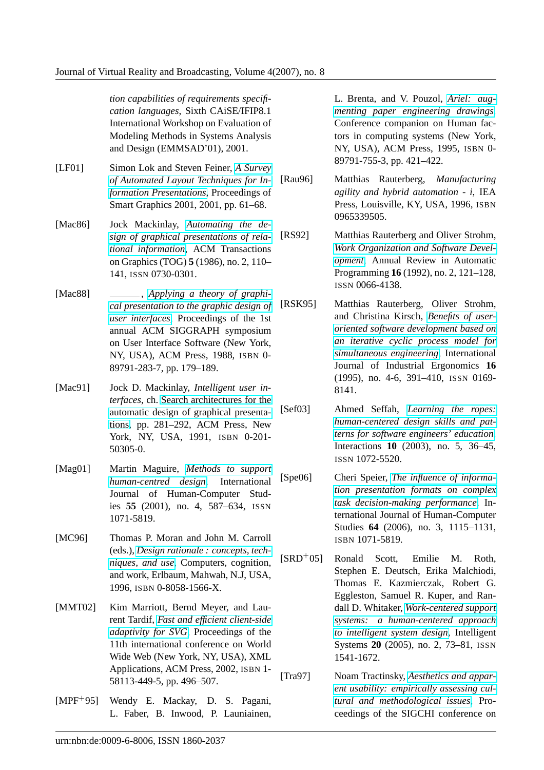<span id="page-11-0"></span>*tion capabilities of requirements specification languages*, Sixth CAiSE/IFIP8.1 International Workshop on Evaluation of Modeling Methods in Systems Analysis and Design (EMMSAD'01), 2001.

[LF01] Simon Lok and Steven Feiner, *A Survey of Automated Layout Techniques for Information Presentations*, Proceedings of Smart Graphics 2001, 2001, p[p. 61–68.](http://www.digibib.net/openurl?sid=hbz:dipp&genre=article&aulast=Lok&aufirst=Simon&title=Proceedings+of+Smart+Graphics+2001&atitle=A+Survey+of+Automated+Layout+Techniques+for+Information+Presentations&date=2001&pages=61-68)

[Mac86] Jock Mackinlay, *[Automating the de](http://www.digibib.net/openurl?sid=hbz:dipp&genre=article&aulast=Lok&aufirst=Simon&title=Proceedings+of+Smart+Graphics+2001&atitle=A+Survey+of+Automated+Layout+Techniques+for+Information+Presentations&date=2001&pages=61-68)[sign of graphical presen](http://www.digibib.net/openurl?sid=hbz:dipp&genre=article&aulast=Lok&aufirst=Simon&title=Proceedings+of+Smart+Graphics+2001&atitle=A+Survey+of+Automated+Layout+Techniques+for+Information+Presentations&date=2001&pages=61-68)tations of relational information*, ACM Transactions on Graphics (TOG) **5** [\(1986\), no. 2, 110–](http://www.digibib.net/openurl?sid=hbz:dipp&genre=article&aulast=MacKinlay&aufirst=Jock&title=ACM+Transactions+on+Graphics+%28TOG%29&atitle=Automating+the+design+of+graphical+presentations+of+relational+information&issn=0730-0301&date=1986&volume=5&issue=2&pages=110-141) 141, ISSN [0730-0301.](http://www.digibib.net/openurl?sid=hbz:dipp&genre=article&aulast=MacKinlay&aufirst=Jock&title=ACM+Transactions+on+Graphics+%28TOG%29&atitle=Automating+the+design+of+graphical+presentations+of+relational+information&issn=0730-0301&date=1986&volume=5&issue=2&pages=110-141)

- [Mac88]  $\qquad \qquad \qquad \qquad$  *[Applying](http://www.digibib.net/openurl?sid=hbz:dipp&genre=article&aulast=MacKinlay&aufirst=Jock&title=ACM+Transactions+on+Graphics+%28TOG%29&atitle=Automating+the+design+of+graphical+presentations+of+relational+information&issn=0730-0301&date=1986&volume=5&issue=2&pages=110-141) a theory of graphical presentation to the graphic design of user interfaces*, Proceedings of the 1st annual ACM SIGGRAPH symposium on User [Interface Software \(New York,](http://www.digibib.net/openurl?sid=hbz:dipp&genre=proceeding&aulast=Mackinlay&aufirst=Jock&title=Proceedings+of+the+1st+annual+ACM+SIGGRAPH+symposium+on+User+Interface+Software&isbn=0-89791-283-7&pages=179-189) [NY, USA\), ACM Press, 1988,](http://www.digibib.net/openurl?sid=hbz:dipp&genre=proceeding&aulast=Mackinlay&aufirst=Jock&title=Proceedings+of+the+1st+annual+ACM+SIGGRAPH+symposium+on+User+Interface+Software&isbn=0-89791-283-7&pages=179-189) ISBN 0- [89791-283-7, p](http://www.digibib.net/openurl?sid=hbz:dipp&genre=proceeding&aulast=Mackinlay&aufirst=Jock&title=Proceedings+of+the+1st+annual+ACM+SIGGRAPH+symposium+on+User+Interface+Software&isbn=0-89791-283-7&pages=179-189)p. 179–189.
- [Mac91] Jock D. Mackinlay, *Intelligent user interfaces*, ch. Search architectures for the automatic design of graphical presentations, pp. 281–292, ACM Press, New York, NY, [USA, 1991,](http://www.digibib.net/openurl?sid=hbz:dipp&genre=book&aulast=Mackinlay&aufirst=Jock&title=Intelligent+user+interfaces&isbn=0-201-50305-0&date=1991 ) ISBN 0-201-[50305-0.](http://www.digibib.net/openurl?sid=hbz:dipp&genre=book&aulast=Mackinlay&aufirst=Jock&title=Intelligent+user+interfaces&isbn=0-201-50305-0&date=1991 )
- [Mag01] [Marti](http://www.digibib.net/openurl?sid=hbz:dipp&genre=book&aulast=Mackinlay&aufirst=Jock&title=Intelligent+user+interfaces&isbn=0-201-50305-0&date=1991 )n Maguire, *Methods to support human-centred design*, International Journal of Human-Computer Studies **55** (2001), n[o. 4, 587–634,](http://www.digibib.net/openurl?sid=hbz:dipp&genre=article&aulast=Maguire&aufirst=Martin&title=International+Journal+of+Human-Computer+Studies&atitle=Methods+to+support+human-centred+design&issn=1071-5819&date=2001&volume=55&issue=4&pages=587-634) ISSN [1071-5819.](http://www.digibib.net/openurl?sid=hbz:dipp&genre=article&aulast=Maguire&aufirst=Martin&title=International+Journal+of+Human-Computer+Studies&atitle=Methods+to+support+human-centred+design&issn=1071-5819&date=2001&volume=55&issue=4&pages=587-634)
- [MC96] Thomas P. Moran and John M. Carroll (eds.), *Design rationale : concepts, techniques, and use*, Computers, cognition, and work, Erlbaum, Mahwah, N.J, USA, 1996, ISBN [0-8058-1566-X.](http://www.digibib.net/openurl?sid=hbz:dipp&genre=book&aulast=Moran&aufirst=Thomas&isbn=0-8058-1566-X)
- [MMT02] [Kim Marriott, B](http://www.digibib.net/openurl?sid=hbz:dipp&genre=book&aulast=Moran&aufirst=Thomas&isbn=0-8058-1566-X)ernd Meyer, and Laurent Tardif, *Fast and efficient client-side adaptivity for SVG*, Proceedings of the 11th international conference on World Wide Web (New York, NY, USA), XML Applicatio[ns, ACM Press, 2002,](http://www.digibib.net/openurl?sid=hbz:dipp&genre=article&aulast=Marriott&aufirst=Kim&title=Proceedings+of+the+11th+international+conference+on+World+Wide+Web&atitle=Fast+and+efficient+client-side+adaptivity+for+SVG&isbn=1-58113-449-5&date=2002&pages=496-507) ISBN 1- [58113-449-5, pp. 49](http://www.digibib.net/openurl?sid=hbz:dipp&genre=article&aulast=Marriott&aufirst=Kim&title=Proceedings+of+the+11th+international+conference+on+World+Wide+Web&atitle=Fast+and+efficient+client-side+adaptivity+for+SVG&isbn=1-58113-449-5&date=2002&pages=496-507)6–507.
- [MPF+95] Wendy E. Mackay, D. S. Pagani, L. Faber, B. Inwood, P. Launiainen,

L. Brenta, and V. Pouzol, *Ariel: augmenting paper engineering drawings*, Conference companion on Human factors in computing systems (New York, NY, USA), ACM Press, 1995, [ISBN](http://www.digibib.net/openurl?sid=hbz:dipp&genre=article&aulast=Mackay&auinit=W.&title=Conference+companion+on+Human+factors+in+computing+systems&atitle=Ariel%3A+augmenting+paper+engineering+drawings&isbn=0-89791-755-3&date=1995&pages=421-422) 0- [89791-755-3, pp. 421–422.](http://www.digibib.net/openurl?sid=hbz:dipp&genre=article&aulast=Mackay&auinit=W.&title=Conference+companion+on+Human+factors+in+computing+systems&atitle=Ariel%3A+augmenting+paper+engineering+drawings&isbn=0-89791-755-3&date=1995&pages=421-422)

[Rau96] Matthias Rauterberg, *Manufacturing agility and hybrid automation - i*, IEA Press, Louisville, KY, USA, 1996, ISBN 0965339505.

[RS92] Matthias Rauterberg and Oliver Strohm, *Work Organization and Software Development*, Annual Review in Automatic Programming **16** (1992), no. 2, 121–128, ISSN 0066-4138.

[RSK95] [Matthias Rauterberg, Oliver Strohm,](http://www.digibib.net/openurl?sid=hbz:dipp&genre=article&aulast=Rauterberg&aufirst=Matthias&title=Annual+Review+in+Automatic+Programming&atitle=Work+Organization+and+Software+Development&issn=0066-4138&date=1992&volume=16&issue=2&pages=121-128 ) and Christina Kirsch, *Benefits of useroriented software development based on an iterative cyclic process model for simultaneous engineering*, International Journal of Industrial [Ergonomics](http://www.digibib.net/openurl?sid=hbz:dipp&genre=article&aulast=Rauterberg&aufirst=Matthias&title=International+Journal+of+Industrial+Ergonomics&atitle=Benefits+of+user-oriented+software+development+based+on+an+iterative+cyclic+process+model+for+simultaneous+engineering&issn=0169-8141&date=1995&volume=16&issue=4-6&pages=391-410 ) **16** [\(1995\), no. 4-6, 391–410,](http://www.digibib.net/openurl?sid=hbz:dipp&genre=article&aulast=Rauterberg&aufirst=Matthias&title=International+Journal+of+Industrial+Ergonomics&atitle=Benefits+of+user-oriented+software+development+based+on+an+iterative+cyclic+process+model+for+simultaneous+engineering&issn=0169-8141&date=1995&volume=16&issue=4-6&pages=391-410 ) ISSN 0169- [8141.](http://www.digibib.net/openurl?sid=hbz:dipp&genre=article&aulast=Rauterberg&aufirst=Matthias&title=International+Journal+of+Industrial+Ergonomics&atitle=Benefits+of+user-oriented+software+development+based+on+an+iterative+cyclic+process+model+for+simultaneous+engineering&issn=0169-8141&date=1995&volume=16&issue=4-6&pages=391-410 )

[Sef03] [Ahmed Seffah,](http://www.digibib.net/openurl?sid=hbz:dipp&genre=article&aulast=Rauterberg&aufirst=Matthias&title=International+Journal+of+Industrial+Ergonomics&atitle=Benefits+of+user-oriented+software+development+based+on+an+iterative+cyclic+process+model+for+simultaneous+engineering&issn=0169-8141&date=1995&volume=16&issue=4-6&pages=391-410 ) *Learning the ropes: human-centered design skills and patterns for software engineers' education*, Interactions **10** ([2003\), no. 5, 36–45,](http://www.digibib.net/openurl?sid=hbz:dipp&genre=article&aulast=Seffah&aufirst=Ahmed&title=Interactions&atitle=Learning+the+ropes+human-centered+design+skills+and+patterns+for+software+engineers+education&issn=1072-5520&date=2003&volume=10&issue=5&pages=36-45) ISSN [1072-5520.](http://www.digibib.net/openurl?sid=hbz:dipp&genre=article&aulast=Seffah&aufirst=Ahmed&title=Interactions&atitle=Learning+the+ropes+human-centered+design+skills+and+patterns+for+software+engineers+education&issn=1072-5520&date=2003&volume=10&issue=5&pages=36-45)

- [Spe06] Cheri Speier, *[The influence of informa](http://www.digibib.net/openurl?sid=hbz:dipp&genre=article&aulast=Seffah&aufirst=Ahmed&title=Interactions&atitle=Learning+the+ropes+human-centered+design+skills+and+patterns+for+software+engineers+education&issn=1072-5520&date=2003&volume=10&issue=5&pages=36-45)tion presentation formats on complex task decision-making performance*, International Journal of Human-Computer Studies **64** ([2006\), no. 3, 1115–1131,](http://www.digibib.net/openurl?sid=hbz:dipp&genre=article&aulast=Speier&aufirst=Cheri&title=International+Journal+of+Human-Computer+Studies&atitle=The+influence+of+information+presentation+formats+on+complex+task+decision-making+performance&issn=1071-5819&date=2006&volume=64&issue=3&pages=1115-1131) ISBN [1071-5819.](http://www.digibib.net/openurl?sid=hbz:dipp&genre=article&aulast=Speier&aufirst=Cheri&title=International+Journal+of+Human-Computer+Studies&atitle=The+influence+of+information+presentation+formats+on+complex+task+decision-making+performance&issn=1071-5819&date=2006&volume=64&issue=3&pages=1115-1131)
- [SRD+05] [Ronald Scott, Emilie M. R](http://www.digibib.net/openurl?sid=hbz:dipp&genre=article&aulast=Speier&aufirst=Cheri&title=International+Journal+of+Human-Computer+Studies&atitle=The+influence+of+information+presentation+formats+on+complex+task+decision-making+performance&issn=1071-5819&date=2006&volume=64&issue=3&pages=1115-1131)oth, Stephen E. Deutsch, Erika Malchiodi, Thomas E. Kazmierczak, Robert G. Eggleston, Samuel R. Kuper, and Randall D. Whitaker, *Work-centered support systems: a human-centered approach to intelligent system design*, Intelligent Systems **20** (200[5\), no. 2, 73–81,](http://www.digibib.net/openurl?sid=hbz:dipp&genre=article&aulast=Scott&aufirst=R.&title=Intelligent+Systems&atitle=Work-centered+support+systems+a+human-centered+approach+to+intelligent+system+design&issn=1541-1672&date=2005&volume=20&issue=2&pages=73-81) ISSN [1541-1672.](http://www.digibib.net/openurl?sid=hbz:dipp&genre=article&aulast=Scott&aufirst=R.&title=Intelligent+Systems&atitle=Work-centered+support+systems+a+human-centered+approach+to+intelligent+system+design&issn=1541-1672&date=2005&volume=20&issue=2&pages=73-81)
- [Tra97] [Noam Tractinsky,](http://www.digibib.net/openurl?sid=hbz:dipp&genre=article&aulast=Scott&aufirst=R.&title=Intelligent+Systems&atitle=Work-centered+support+systems+a+human-centered+approach+to+intelligent+system+design&issn=1541-1672&date=2005&volume=20&issue=2&pages=73-81) *Aesthetics and apparent usability: empirically assessing cultural and methodological issues*, Proceedings of the S[IGCHI conference on](http://www.digibib.net/openurl?sid=hbz:dipp&genre=article&aulast=Tractinsky&aufirst=Noam&title=Proceedings+of+the+SIGCHI+conference+on+Human+factors+in+computing+systems&atitle=Aesthetics+and+apparent+usability+empirically+assessing+cultural+and+methodological+issues&isbn=0-89791-802-9&date=1997&pages=115--122)